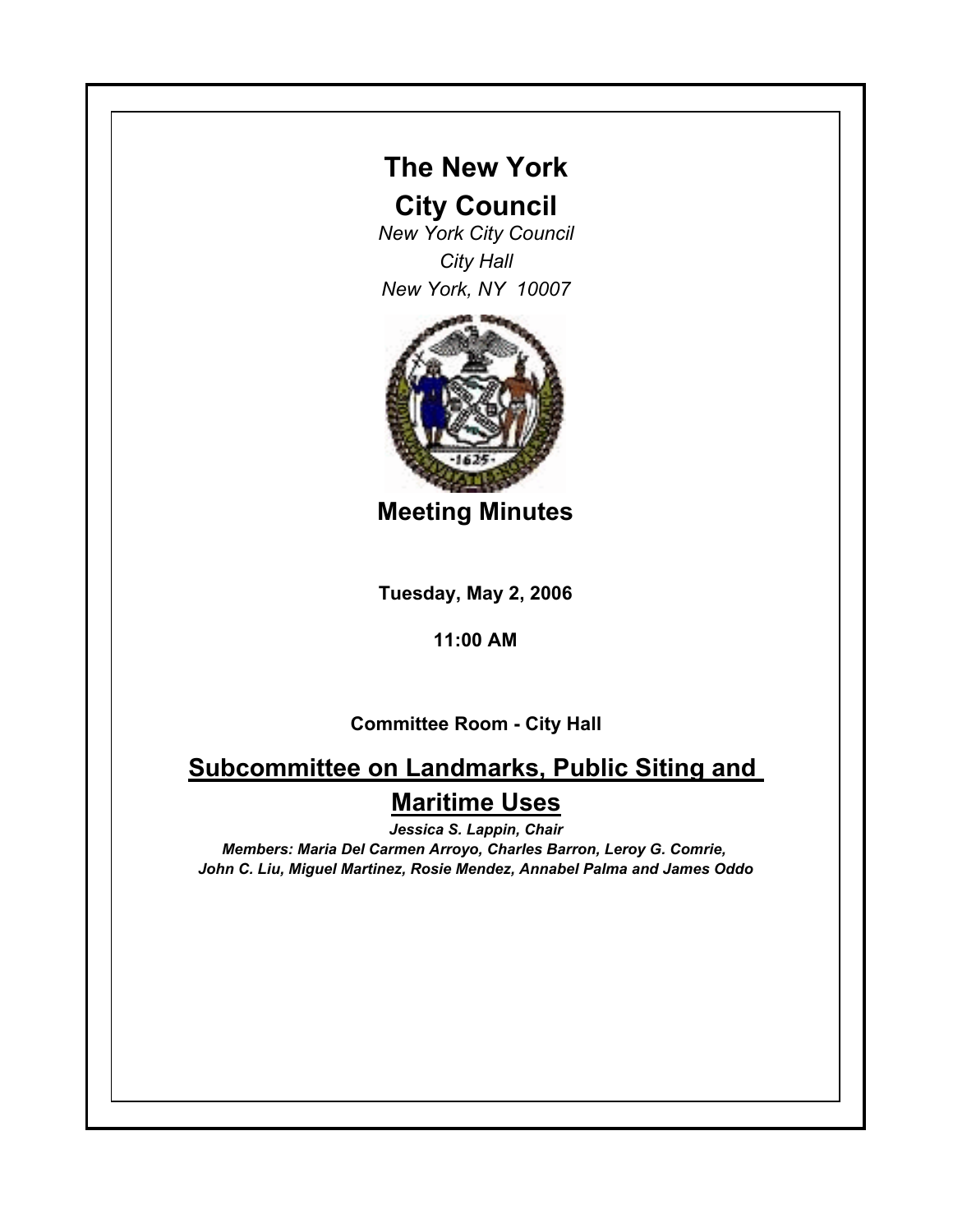## **The New York**

### **City Council**

*New York City Council City Hall New York, NY 10007*



**Meeting Minutes**

**Tuesday, May 2, 2006**

#### **11:00 AM**

### **Committee Room - City Hall**

# **Subcommittee on Landmarks, Public Siting and Maritime Uses**

*Jessica S. Lappin, Chair*

*Members: Maria Del Carmen Arroyo, Charles Barron, Leroy G. Comrie, John C. Liu, Miguel Martinez, Rosie Mendez, Annabel Palma and James Oddo*